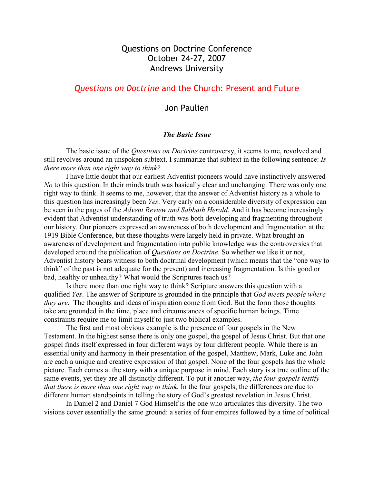# Questions on Doctrine Conference October 24-27, 2007 Andrews University

# Questions on Doctrine and the Church: Present and Future

## Jon Paulien

### The Basic Issue

The basic issue of the *Questions on Doctrine* controversy, it seems to me, revolved and still revolves around an unspoken subtext. I summarize that subtext in the following sentence: Is there more than one right way to think?

 I have little doubt that our earliest Adventist pioneers would have instinctively answered No to this question. In their minds truth was basically clear and unchanging. There was only one right way to think. It seems to me, however, that the answer of Adventist history as a whole to this question has increasingly been Yes. Very early on a considerable diversity of expression can be seen in the pages of the *Advent Review and Sabbath Herald*. And it has become increasingly evident that Adventist understanding of truth was both developing and fragmenting throughout our history. Our pioneers expressed an awareness of both development and fragmentation at the 1919 Bible Conference, but these thoughts were largely held in private. What brought an awareness of development and fragmentation into public knowledge was the controversies that developed around the publication of *Ouestions on Doctrine*. So whether we like it or not, Adventist history bears witness to both doctrinal development (which means that the "one way to think" of the past is not adequate for the present) and increasing fragmentation. Is this good or bad, healthy or unhealthy? What would the Scriptures teach us?

 Is there more than one right way to think? Scripture answers this question with a qualified Yes. The answer of Scripture is grounded in the principle that God meets people where they are. The thoughts and ideas of inspiration come from God. But the form those thoughts take are grounded in the time, place and circumstances of specific human beings. Time constraints require me to limit myself to just two biblical examples.

 The first and most obvious example is the presence of four gospels in the New Testament. In the highest sense there is only one gospel, the gospel of Jesus Christ. But that one gospel finds itself expressed in four different ways by four different people. While there is an essential unity and harmony in their presentation of the gospel, Matthew, Mark, Luke and John are each a unique and creative expression of that gospel. None of the four gospels has the whole picture. Each comes at the story with a unique purpose in mind. Each story is a true outline of the same events, yet they are all distinctly different. To put it another way, the four gospels testify that there is more than one right way to think. In the four gospels, the differences are due to different human standpoints in telling the story of God's greatest revelation in Jesus Christ.

 In Daniel 2 and Daniel 7 God Himself is the one who articulates this diversity. The two visions cover essentially the same ground: a series of four empires followed by a time of political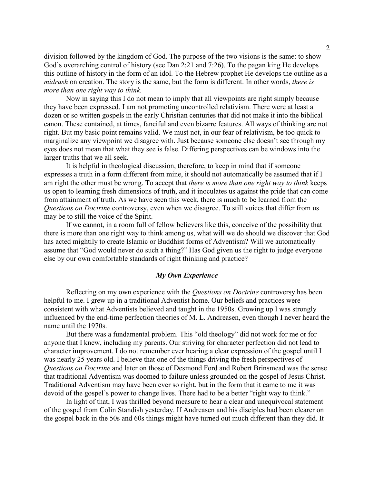division followed by the kingdom of God. The purpose of the two visions is the same: to show God's overarching control of history (see Dan 2:21 and 7:26). To the pagan king He develops this outline of history in the form of an idol. To the Hebrew prophet He develops the outline as a midrash on creation. The story is the same, but the form is different. In other words, there is more than one right way to think.

Now in saying this I do not mean to imply that all viewpoints are right simply because they have been expressed. I am not promoting uncontrolled relativism. There were at least a dozen or so written gospels in the early Christian centuries that did not make it into the biblical canon. These contained, at times, fanciful and even bizarre features. All ways of thinking are not right. But my basic point remains valid. We must not, in our fear of relativism, be too quick to marginalize any viewpoint we disagree with. Just because someone else doesn't see through my eyes does not mean that what they see is false. Differing perspectives can be windows into the larger truths that we all seek.

 It is helpful in theological discussion, therefore, to keep in mind that if someone expresses a truth in a form different from mine, it should not automatically be assumed that if I am right the other must be wrong. To accept that *there is more than one right way to think* keeps us open to learning fresh dimensions of truth, and it inoculates us against the pride that can come from attainment of truth. As we have seen this week, there is much to be learned from the Questions on Doctrine controversy, even when we disagree. To still voices that differ from us may be to still the voice of the Spirit.

 If we cannot, in a room full of fellow believers like this, conceive of the possibility that there is more than one right way to think among us, what will we do should we discover that God has acted mightily to create Islamic or Buddhist forms of Adventism? Will we automatically assume that "God would never do such a thing?" Has God given us the right to judge everyone else by our own comfortable standards of right thinking and practice?

#### My Own Experience

Reflecting on my own experience with the *Questions on Doctrine* controversy has been helpful to me. I grew up in a traditional Adventist home. Our beliefs and practices were consistent with what Adventists believed and taught in the 1950s. Growing up I was strongly influenced by the end-time perfection theories of M. L. Andreasen, even though I never heard the name until the 1970s.

 But there was a fundamental problem. This "old theology" did not work for me or for anyone that I knew, including my parents. Our striving for character perfection did not lead to character improvement. I do not remember ever hearing a clear expression of the gospel until I was nearly 25 years old. I believe that one of the things driving the fresh perspectives of Questions on Doctrine and later on those of Desmond Ford and Robert Brinsmead was the sense that traditional Adventism was doomed to failure unless grounded on the gospel of Jesus Christ. Traditional Adventism may have been ever so right, but in the form that it came to me it was devoid of the gospel's power to change lives. There had to be a better "right way to think."

 In light of that, I was thrilled beyond measure to hear a clear and unequivocal statement of the gospel from Colin Standish yesterday. If Andreasen and his disciples had been clearer on the gospel back in the 50s and 60s things might have turned out much different than they did. It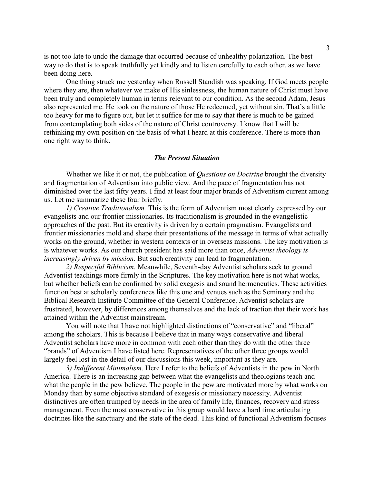is not too late to undo the damage that occurred because of unhealthy polarization. The best way to do that is to speak truthfully yet kindly and to listen carefully to each other, as we have been doing here.

 One thing struck me yesterday when Russell Standish was speaking. If God meets people where they are, then whatever we make of His sinlessness, the human nature of Christ must have been truly and completely human in terms relevant to our condition. As the second Adam, Jesus also represented me. He took on the nature of those He redeemed, yet without sin. That's a little too heavy for me to figure out, but let it suffice for me to say that there is much to be gained from contemplating both sides of the nature of Christ controversy. I know that I will be rethinking my own position on the basis of what I heard at this conference. There is more than one right way to think.

#### The Present Situation

Whether we like it or not, the publication of *Questions on Doctrine* brought the diversity and fragmentation of Adventism into public view. And the pace of fragmentation has not diminished over the last fifty years. I find at least four major brands of Adventism current among us. Let me summarize these four briefly.

1) Creative Traditionalism. This is the form of Adventism most clearly expressed by our evangelists and our frontier missionaries. Its traditionalism is grounded in the evangelistic approaches of the past. But its creativity is driven by a certain pragmatism. Evangelists and frontier missionaries mold and shape their presentations of the message in terms of what actually works on the ground, whether in western contexts or in overseas missions. The key motivation is is whatever works. As our church president has said more than once, Adventist theology is increasingly driven by mission. But such creativity can lead to fragmentation.

2) Respectful Biblicism. Meanwhile, Seventh-day Adventist scholars seek to ground Adventist teachings more firmly in the Scriptures. The key motivation here is not what works, but whether beliefs can be confirmed by solid exegesis and sound hermeneutics. These activities function best at scholarly conferences like this one and venues such as the Seminary and the Biblical Research Institute Committee of the General Conference. Adventist scholars are frustrated, however, by differences among themselves and the lack of traction that their work has attained within the Adventist mainstream.

 You will note that I have not highlighted distinctions of "conservative" and "liberal" among the scholars. This is because I believe that in many ways conservative and liberal Adventist scholars have more in common with each other than they do with the other three "brands" of Adventism I have listed here. Representatives of the other three groups would largely feel lost in the detail of our discussions this week, important as they are.

3) Indifferent Minimalism. Here I refer to the beliefs of Adventists in the pew in North America. There is an increasing gap between what the evangelists and theologians teach and what the people in the pew believe. The people in the pew are motivated more by what works on Monday than by some objective standard of exegesis or missionary necessity. Adventist distinctives are often trumped by needs in the area of family life, finances, recovery and stress management. Even the most conservative in this group would have a hard time articulating doctrines like the sanctuary and the state of the dead. This kind of functional Adventism focuses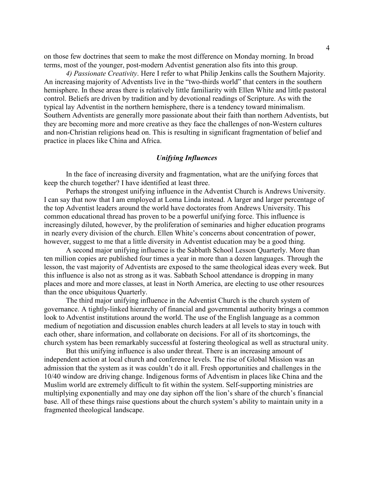on those few doctrines that seem to make the most difference on Monday morning. In broad terms, most of the younger, post-modern Adventist generation also fits into this group.

4) Passionate Creativity. Here I refer to what Philip Jenkins calls the Southern Majority. An increasing majority of Adventists live in the "two-thirds world" that centers in the southern hemisphere. In these areas there is relatively little familiarity with Ellen White and little pastoral control. Beliefs are driven by tradition and by devotional readings of Scripture. As with the typical lay Adventist in the northern hemisphere, there is a tendency toward minimalism. Southern Adventists are generally more passionate about their faith than northern Adventists, but they are becoming more and more creative as they face the challenges of non-Western cultures and non-Christian religions head on. This is resulting in significant fragmentation of belief and practice in places like China and Africa.

#### Unifying Influences

 In the face of increasing diversity and fragmentation, what are the unifying forces that keep the church together? I have identified at least three.

 Perhaps the strongest unifying influence in the Adventist Church is Andrews University. I can say that now that I am employed at Loma Linda instead. A larger and larger percentage of the top Adventist leaders around the world have doctorates from Andrews University. This common educational thread has proven to be a powerful unifying force. This influence is increasingly diluted, however, by the proliferation of seminaries and higher education programs in nearly every division of the church. Ellen White's concerns about concentration of power, however, suggest to me that a little diversity in Adventist education may be a good thing.

 A second major unifying influence is the Sabbath School Lesson Quarterly. More than ten million copies are published four times a year in more than a dozen languages. Through the lesson, the vast majority of Adventists are exposed to the same theological ideas every week. But this influence is also not as strong as it was. Sabbath School attendance is dropping in many places and more and more classes, at least in North America, are electing to use other resources than the once ubiquitous Quarterly.

 The third major unifying influence in the Adventist Church is the church system of governance. A tightly-linked hierarchy of financial and governmental authority brings a common look to Adventist institutions around the world. The use of the English language as a common medium of negotiation and discussion enables church leaders at all levels to stay in touch with each other, share information, and collaborate on decisions. For all of its shortcomings, the church system has been remarkably successful at fostering theological as well as structural unity.

 But this unifying influence is also under threat. There is an increasing amount of independent action at local church and conference levels. The rise of Global Mission was an admission that the system as it was couldn't do it all. Fresh opportunities and challenges in the 10/40 window are driving change. Indigenous forms of Adventism in places like China and the Muslim world are extremely difficult to fit within the system. Self-supporting ministries are multiplying exponentially and may one day siphon off the lion's share of the church's financial base. All of these things raise questions about the church system's ability to maintain unity in a fragmented theological landscape.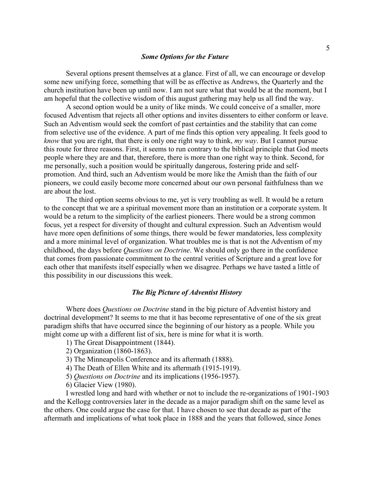Several options present themselves at a glance. First of all, we can encourage or develop some new unifying force, something that will be as effective as Andrews, the Quarterly and the church institution have been up until now. I am not sure what that would be at the moment, but I am hopeful that the collective wisdom of this august gathering may help us all find the way.

 A second option would be a unity of like minds. We could conceive of a smaller, more focused Adventism that rejects all other options and invites dissenters to either conform or leave. Such an Adventism would seek the comfort of past certainties and the stability that can come from selective use of the evidence. A part of me finds this option very appealing. It feels good to *know* that you are right, that there is only one right way to think,  $my$  way. But I cannot pursue this route for three reasons. First, it seems to run contrary to the biblical principle that God meets people where they are and that, therefore, there is more than one right way to think. Second, for me personally, such a position would be spiritually dangerous, fostering pride and selfpromotion. And third, such an Adventism would be more like the Amish than the faith of our pioneers, we could easily become more concerned about our own personal faithfulness than we are about the lost.

 The third option seems obvious to me, yet is very troubling as well. It would be a return to the concept that we are a spiritual movement more than an institution or a corporate system. It would be a return to the simplicity of the earliest pioneers. There would be a strong common focus, yet a respect for diversity of thought and cultural expression. Such an Adventism would have more open definitions of some things, there would be fewer mandatories, less complexity and a more minimal level of organization. What troubles me is that is not the Adventism of my childhood, the days before Questions on Doctrine. We should only go there in the confidence that comes from passionate commitment to the central verities of Scripture and a great love for each other that manifests itself especially when we disagree. Perhaps we have tasted a little of this possibility in our discussions this week.

## The Big Picture of Adventist History

Where does *Questions on Doctrine* stand in the big picture of Adventist history and doctrinal development? It seems to me that it has become representative of one of the six great paradigm shifts that have occurred since the beginning of our history as a people. While you might come up with a different list of six, here is mine for what it is worth.

- 1) The Great Disappointment (1844).
- 2) Organization (1860-1863).
- 3) The Minneapolis Conference and its aftermath (1888).
- 4) The Death of Ellen White and its aftermath (1915-1919).
- 5) Questions on Doctrine and its implications (1956-1957).
- 6) Glacier View (1980).

 I wrestled long and hard with whether or not to include the re-organizations of 1901-1903 and the Kellogg controversies later in the decade as a major paradigm shift on the same level as the others. One could argue the case for that. I have chosen to see that decade as part of the aftermath and implications of what took place in 1888 and the years that followed, since Jones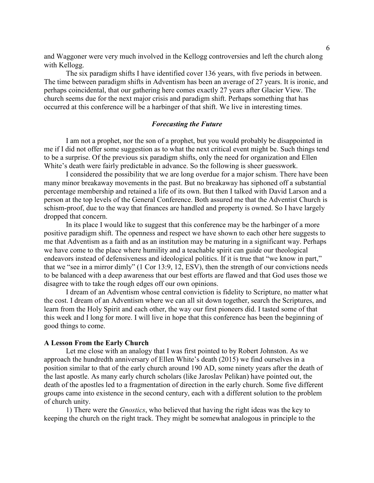and Waggoner were very much involved in the Kellogg controversies and left the church along with Kellogg.

 The six paradigm shifts I have identified cover 136 years, with five periods in between. The time between paradigm shifts in Adventism has been an average of 27 years. It is ironic, and perhaps coincidental, that our gathering here comes exactly 27 years after Glacier View. The church seems due for the next major crisis and paradigm shift. Perhaps something that has occurred at this conference will be a harbinger of that shift. We live in interesting times.

### Forecasting the Future

 I am not a prophet, nor the son of a prophet, but you would probably be disappointed in me if I did not offer some suggestion as to what the next critical event might be. Such things tend to be a surprise. Of the previous six paradigm shifts, only the need for organization and Ellen White's death were fairly predictable in advance. So the following is sheer guesswork.

 I considered the possibility that we are long overdue for a major schism. There have been many minor breakaway movements in the past. But no breakaway has siphoned off a substantial percentage membership and retained a life of its own. But then I talked with David Larson and a person at the top levels of the General Conference. Both assured me that the Adventist Church is schism-proof, due to the way that finances are handled and property is owned. So I have largely dropped that concern.

 In its place I would like to suggest that this conference may be the harbinger of a more positive paradigm shift. The openness and respect we have shown to each other here suggests to me that Adventism as a faith and as an institution may be maturing in a significant way. Perhaps we have come to the place where humility and a teachable spirit can guide our theological endeavors instead of defensiveness and ideological politics. If it is true that "we know in part," that we "see in a mirror dimly" (1 Cor 13:9, 12, ESV), then the strength of our convictions needs to be balanced with a deep awareness that our best efforts are flawed and that God uses those we disagree with to take the rough edges off our own opinions.

 I dream of an Adventism whose central conviction is fidelity to Scripture, no matter what the cost. I dream of an Adventism where we can all sit down together, search the Scriptures, and learn from the Holy Spirit and each other, the way our first pioneers did. I tasted some of that this week and I long for more. I will live in hope that this conference has been the beginning of good things to come.

#### A Lesson From the Early Church

 Let me close with an analogy that I was first pointed to by Robert Johnston. As we approach the hundredth anniversary of Ellen White's death (2015) we find ourselves in a position similar to that of the early church around 190 AD, some ninety years after the death of the last apostle. As many early church scholars (like Jaroslav Pelikan) have pointed out, the death of the apostles led to a fragmentation of direction in the early church. Some five different groups came into existence in the second century, each with a different solution to the problem of church unity.

 1) There were the Gnostics, who believed that having the right ideas was the key to keeping the church on the right track. They might be somewhat analogous in principle to the